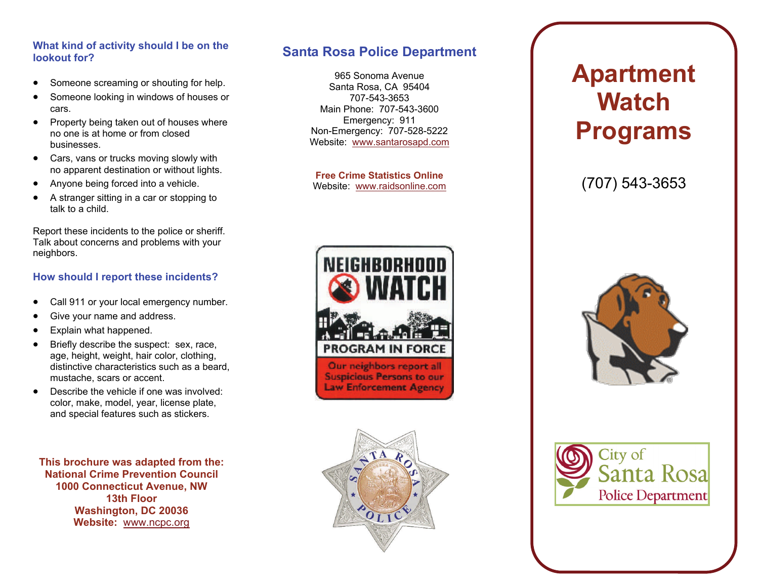#### **What kind of activity should I be on the lookout for?**

- $\bullet$ Someone screaming or shouting for help.
- $\bullet$  Someone looking in windows of houses or cars.
- Property being taken out of houses where no one is at home or from closed businesses.
- Cars, vans or trucks moving slowly with no apparent destination or without lights.
- Anyone being forced into a vehicle.
- $\bullet$  A stranger sitting in a car or stopping to talk to a child.

Report these incidents to the police or sheriff. Talk about concerns and problems with your neighbors.

#### **How should I report these incidents?**

- $\bullet$ Call 911 or your local emergency number.
- $\bullet$ Give your name and address.
- $\bullet$ Explain what happened.
- $\bullet$  Briefly describe the suspect: sex, race, age, height, weight, hair color, clothing, distinctive characteristics such as a beard, mustache, scars or accent.
- Describe the vehicle if one was involved: color, make, model, year, license plate, and special features such as stickers.

**This brochure was adapted from the: National Crime Prevention Council 1000 Connecticut Avenue, NW 13th Floor Washington, DC 20036 Website:** [www.ncpc.org](http://www.ncpc.org/)

## **Santa Rosa Police Department**

965 Sonoma Avenue Santa Rosa, CA 95404 707-543-3653 Main Phone: 707-543-3600 Emergency: 911 Non-Emergency: 707-528-5222 Website: [www.santarosapd.com](http://www.santarosapd.com/)

**Free Crime Statistics Online** Website: [www.raidsonline.com](http://www.raidsonline.com/)





# **Apartment Watch Programs**

(707) 543-3653